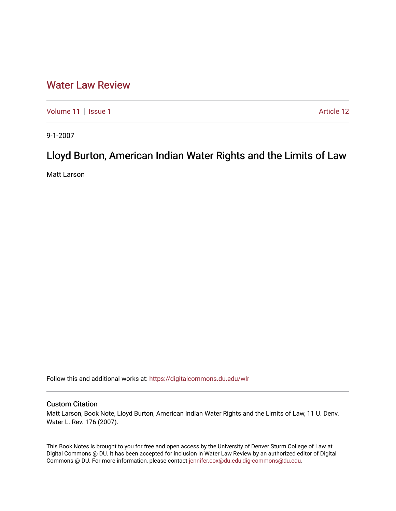## [Water Law Review](https://digitalcommons.du.edu/wlr)

[Volume 11](https://digitalcommons.du.edu/wlr/vol11) | [Issue 1](https://digitalcommons.du.edu/wlr/vol11/iss1) Article 12

9-1-2007

# Lloyd Burton, American Indian Water Rights and the Limits of Law

Matt Larson

Follow this and additional works at: [https://digitalcommons.du.edu/wlr](https://digitalcommons.du.edu/wlr?utm_source=digitalcommons.du.edu%2Fwlr%2Fvol11%2Fiss1%2F12&utm_medium=PDF&utm_campaign=PDFCoverPages) 

### Custom Citation

Matt Larson, Book Note, Lloyd Burton, American Indian Water Rights and the Limits of Law, 11 U. Denv. Water L. Rev. 176 (2007).

This Book Notes is brought to you for free and open access by the University of Denver Sturm College of Law at Digital Commons @ DU. It has been accepted for inclusion in Water Law Review by an authorized editor of Digital Commons @ DU. For more information, please contact [jennifer.cox@du.edu,dig-commons@du.edu.](mailto:jennifer.cox@du.edu,dig-commons@du.edu)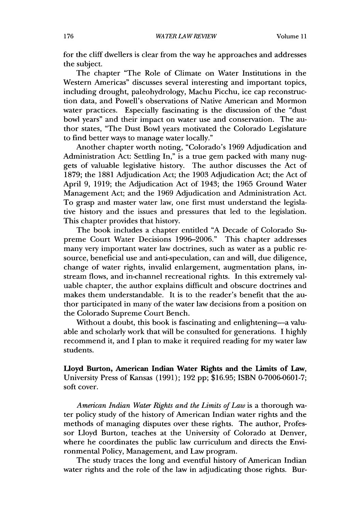for the cliff dwellers is clear from the way he approaches and addresses the subject.

The chapter "The Role of Climate on Water Institutions in the Western Americas" discusses several interesting and important topics, including drought, paleohydrology, Machu Picchu, ice cap reconstruction data, and Powell's observations of Native American and Mormon water practices. Especially fascinating is the discussion of the "dust bowl years" and their impact on water use and conservation. The author states, "The Dust Bowl years motivated the Colorado Legislature to find better ways to manage water locally."

Another chapter worth noting, "Colorado's 1969 Adjudication and Administration Act: Settling In," is a true gem packed with many nuggets of valuable legislative history. The author discusses the Act of 1879; the 1881 Adjudication Act; the 1903 Adjudication Act; the Act of April 9, 1919; the Adjudication Act of 1943; the 1965 Ground Water Management Act; and the 1969 Adjudication and Administration Act. To grasp and master water law, one first must understand the legislative history and the issues and pressures that led to the legislation. This chapter provides that history.

The book includes a chapter entitled "A Decade of Colorado Supreme Court Water Decisions 1996-2006." This chapter addresses many very important water law doctrines, such as water as a public resource, beneficial use and anti-speculation, can and will, due diligence, change of water rights, invalid enlargement, augmentation plans, instream flows, and in-channel recreational rights. In this extremely valuable chapter, the author explains difficult and obscure doctrines and makes them understandable. It is to the reader's benefit that the author participated in many of the water law decisions from a position on the Colorado Supreme Court Bench.

Without a doubt, this book is fascinating and enlightening-a valuable and scholarly work that will be consulted for generations. I highly recommend it, and I plan to make it required reading for my water law students.

Lloyd Burton, American Indian Water Rights and the Limits of Law, University Press of Kansas **(1991); 192 pp; \$16.95; ISBN 0-7006-0601-7;** soft cover.

*American Indian Water Rights and the Limits of Law* is a thorough water policy study of the history of American Indian water rights and the methods of managing disputes over these rights. The author, Professor Lloyd Burton, teaches at the University of Colorado at Denver, where he coordinates the public law curriculum and directs the Environmental Policy, Management, and Law program.

The study traces the long and eventful history of American Indian water rights and the role of the law in adjudicating those rights. Bur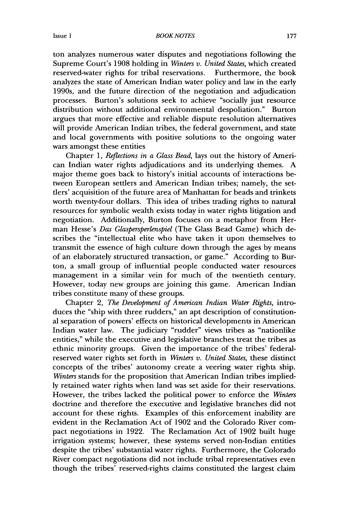Issue **1**

ton analyzes numerous water disputes and negotiations following the Supreme Court's **1908** holding in *Winters v. United States,* which created reserved-water rights for tribal reservations. Furthermore, the book analyzes the state of American Indian water policy and law in the early 1990s, and the future direction of the negotiation and adjudication processes. Burton's solutions seek to achieve "socially just resource distribution without additional environmental despoliation." Burton argues that more effective and reliable dispute resolution alternatives will provide American Indian tribes, the federal government, and state and local governments with positive solutions to the ongoing water wars amongst these entities

Chapter 1, *Reflections in a Glass Bead,* lays out the history of American Indian water rights adjudications and its underlying themes. A major theme goes back to history's initial accounts of interactions between European settlers and American Indian tribes; namely, the settiers' acquisition of the future area of Manhattan for beads and trinkets worth twenty-four dollars. This idea of tribes trading rights to natural resources for symbolic wealth exists today in water rights litigation and negotiation. Additionally, Burton focuses on a metaphor from Herman Hesse's *Das Glaspersperlenspiel* (The Glass Bead Game) which describes the "intellectual elite who have taken it upon themselves to transmit the essence of high culture down through the ages by means of an elaborately structured transaction, or game." According to Burton, a small group of influential people conducted water resources management in a similar vein for much of the twentieth century. However, today new groups are joining this game. American Indian tribes constitute many of these groups.

Chapter 2, *The Development of American Indian Water Rights,* introduces the "ship with three rudders," an apt description of constitutional separation of powers' effects on historical developments in American Indian water law. The judiciary "rudder" views tribes as "nationlike entities," while the executive and legislative branches treat the tribes as ethnic minority groups. Given the importance of the tribes' federalreserved water rights set forth in *Winters v. United States,* these distinct concepts of the tribes' autonomy create a veering water rights ship. *Winters* stands for the proposition that American Indian tribes impliedly retained water rights when land was set aside for their reservations. However, the tribes lacked the political power to enforce the *Winters* doctrine and therefore the executive and legislative branches did not account for these rights. Examples of this enforcement inability are evident in the Reclamation Act of 1902 and the Colorado River compact negotiations in 1922. The Reclamation Act of **1902** built huge irrigation systems; however, these systems served non-Indian entities despite the tribes' substantial water rights. Furthermore, the Colorado River compact negotiations did not include tribal representatives even though the tribes' reserved-rights claims constituted the largest claim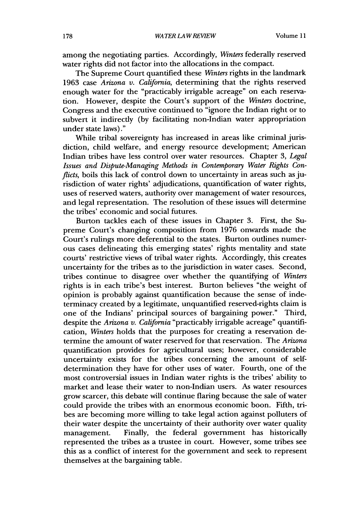among the negotiating parties. Accordingly, *Winters* federally reserved water rights did not factor into the allocations in the compact.

The Supreme Court quantified these *Winters* rights in the landmark 1963 case *Arizona v. California,* determining that the rights reserved enough water for the "practicably irrigable acreage" on each reservation. However, despite the Court's support of the *Winters* doctrine, Congress and the executive continued to "ignore the Indian right or to subvert it indirectly (by facilitating non-Indian water appropriation under state laws)."

While tribal sovereignty has increased in areas like criminal jurisdiction, child welfare, and energy resource development; American Indian tribes have less control over water resources. Chapter 3, *Legal Issues and Dispute-Managing Methods in Contemporary Water Rights Conflicts*, boils this lack of control down to uncertainty in areas such as jurisdiction of water rights' adjudications, quantification of water rights, uses of reserved waters, authority over management of water resources, and legal representation. The resolution of these issues will determine the tribes' economic and social futures.

Burton tackles each of these issues in Chapter 3. First, the Supreme Court's changing composition from 1976 onwards made the Court's rulings more deferential to the states. Burton outlines numerous cases delineating this emerging states' rights mentality and state courts' restrictive views of tribal water rights. Accordingly, this creates uncertainty for the tribes as to the jurisdiction in water cases. Second, tribes continue to disagree over whether the quantifying of *Winters* rights is in each tribe's best interest. Burton believes "the weight of opinion is probably against quantification because the sense of indeterminacy created by a legitimate, unquantified reserved-rights claim is one of the Indians' principal sources of bargaining power." Third, despite the *Arizona v. California* "practicably irrigable acreage" quantification, *Winters* holds that the purposes for creating a reservation determine the amount of water reserved for that reservation. The *Arizona* quantification provides for agricultural uses; however, considerable uncertainty exists for the tribes concerning the amount of selfdetermination they have for other uses of water. Fourth, one of the most controversial issues in Indian water rights is the tribes' ability to market and lease their water to non-Indian users. As water resources grow scarcer, this debate will continue flaring because the sale of water could provide the tribes with an enormous economic boon. Fifth, tribes are becoming more willing to take legal action against polluters of their water despite the uncertainty of their authority over water quality management. Finally, the federal government has historically represented the tribes as a trustee in court. However, some tribes see this as a conflict of interest for the government and seek to represent themselves at the bargaining table.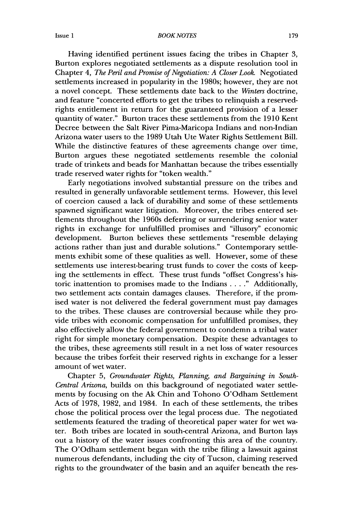#### *BOOK NOTES*

Having identified pertinent issues facing the tribes in Chapter 3, Burton explores negotiated settlements as a dispute resolution tool in Chapter 4, *The Peril and Promise of Negotiation: A Closer Look.* Negotiated settlements increased in popularity in the 1980s; however, they are not a novel concept. These settlements date back to the *Winters* doctrine, and feature "concerted efforts to get the tribes to relinquish a reservedrights entitlement in return for the guaranteed provision of a lesser quantity of water." Burton traces these settlements from the 1910 Kent Decree between the Salt River Pima-Maricopa Indians and non-Indian Arizona water users to the 1989 Utah Ute Water Rights Settlement Bill. While the distinctive features of these agreements change over time, Burton argues these negotiated settlements resemble the colonial trade of trinkets and beads for Manhattan because the tribes essentially trade reserved water rights for "token wealth."

Early negotiations involved substantial pressure on the tribes and resulted in generally unfavorable settlement terms. However, this level of coercion caused a lack of durability and some of these settlements spawned significant water litigation. Moreover, the tribes entered settlements throughout the 1960s deferring or surrendering senior water rights in exchange for unfulfilled promises and "illusory" economic development. Burton believes these settlements "resemble delaying actions rather than just and durable solutions." Contemporary settlements exhibit some of these qualities as well. However, some of these settlements use interest-bearing trust funds to cover the costs of keeping the settlements in effect. These trust funds "offset Congress's historic inattention to promises made to the Indians . **. . ."** Additionally, two settlement acts contain damages clauses. Therefore, if the promised water is not delivered the federal government must pay damages to the tribes. These clauses are controversial because while they provide tribes with economic compensation for unfulfilled promises, they also effectively allow the federal government to condemn a tribal water right for simple monetary compensation. Despite these advantages to the tribes, these agreements still result in a net loss of water resources because the tribes forfeit their reserved rights in exchange for a lesser amount of wet water.

Chapter 5, *Groundwater Rights, Planning, and Bargaining in South-Central Arizona,* builds on this background of negotiated water settlements by focusing on the **Ak** Chin and Tohono O'Odham Settlement Acts of 1978, 1982, and 1984. In each of these settlements, the tribes chose the political process over the legal process due. The negotiated settlements featured the trading of theoretical paper water for wet water. Both tribes are located in south-central Arizona, and Burton lays out a history of the water issues confronting this area of the country. The O'Odham settlement began with the tribe filing a lawsuit against numerous defendants, including the city of Tucson, claiming reserved rights to the groundwater of the basin and an aquifer beneath the res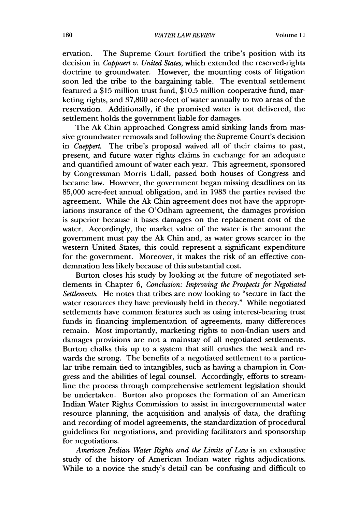ervation. The Supreme Court fortified the tribe's position with its decision in *Cappaert v. United States,* which extended the reserved-rights doctrine to groundwater. However, the mounting costs of litigation soon led the tribe to the bargaining table. The eventual settlement featured a \$15 million trust fund, \$10.5 million cooperative fund, marketing rights, and 37,800 acre-feet of water annually to two areas of the reservation. Additionally, if the promised water is not delivered, the settlement holds the government liable for damages.

The Ak Chin approached Congress amid sinking lands from massive groundwater removals and following the Supreme Court's decision in *Caeppert.* The tribe's proposal waived all of their claims to past, present, and future water rights claims in exchange for an adequate and quantified amount of water each year. This agreement, sponsored by Congressman Morris Udall, passed both houses of Congress and became law. However, the government began missing deadlines on its 85,000 acre-feet annual obligation, and in 1983 the parties revised the agreement. While the Ak Chin agreement does not have the appropriations insurance of the O'Odham agreement, the damages provision is superior because it bases damages on the replacement cost of the water. Accordingly, the market value of the water is the amount the government must pay the Ak Chin and, as water grows scarcer in the western United States, this could represent a significant expenditure for the government. Moreover, it makes the risk of an effective condemnation less likely because of this substantial cost.

Burton closes his study by looking at the future of negotiated settlements in Chapter 6, *Conclusion: Improving the Prospects for Negotiated Settlements.* He notes that tribes are now looking to "secure in fact the water resources they have previously held in theory." While negotiated settlements have common features such as using interest-bearing trust funds in financing implementation of agreements, many differences remain. Most importantly, marketing rights to non-Indian users and damages provisions are not a mainstay of all negotiated settlements. Burton chalks this up to a system that still crushes the weak and rewards the strong. The benefits of a negotiated settlement to a particular tribe remain tied to intangibles, such as having a champion in Congress and the abilities of legal counsel. Accordingly, efforts to streamline the process through comprehensive settlement legislation should be undertaken. Burton also proposes the formation of an American Indian Water Rights Commission to assist in intergovernmental water resource planning, the acquisition and analysis of data, the drafting and recording of model agreements, the standardization of procedural guidelines for negotiations, and providing facilitators and sponsorship for negotiations.

*American Indian Water Rights and the Limits of Law* is an exhaustive study of the history of American Indian water rights adjudications. While to a novice the study's detail can be confusing and difficult to